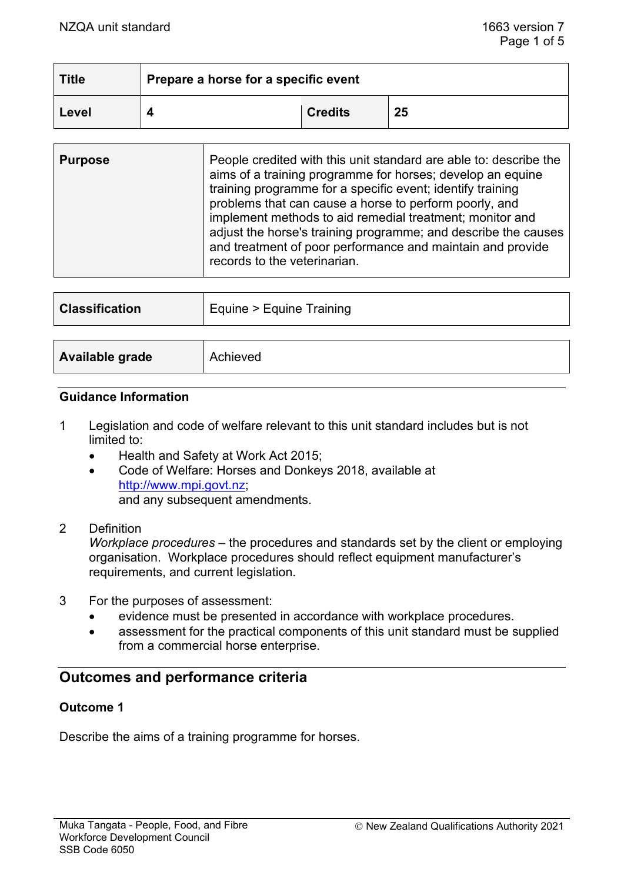| <b>Title</b> | Prepare a horse for a specific event |                |    |  |
|--------------|--------------------------------------|----------------|----|--|
| Level        |                                      | <b>Credits</b> | 25 |  |

| People credited with this unit standard are able to: describe the<br><b>Purpose</b><br>aims of a training programme for horses; develop an equine<br>training programme for a specific event; identify training<br>problems that can cause a horse to perform poorly, and<br>implement methods to aid remedial treatment; monitor and<br>adjust the horse's training programme; and describe the causes<br>and treatment of poor performance and maintain and provide<br>records to the veterinarian. |
|-------------------------------------------------------------------------------------------------------------------------------------------------------------------------------------------------------------------------------------------------------------------------------------------------------------------------------------------------------------------------------------------------------------------------------------------------------------------------------------------------------|
|-------------------------------------------------------------------------------------------------------------------------------------------------------------------------------------------------------------------------------------------------------------------------------------------------------------------------------------------------------------------------------------------------------------------------------------------------------------------------------------------------------|

| <b>Classification</b> | Equine > Equine Training |
|-----------------------|--------------------------|
|                       |                          |
| Available grade       | Achieved                 |

#### **Guidance Information**

- 1 Legislation and code of welfare relevant to this unit standard includes but is not limited to:
	- Health and Safety at Work Act 2015;
	- Code of Welfare: Horses and Donkeys 2018, available at [http://www.mpi.govt.nz;](http://www.mpi.govt.nz/) and any subsequent amendments.
- 2 Definition

*Workplace procedures* – the procedures and standards set by the client or employing organisation. Workplace procedures should reflect equipment manufacturer's requirements, and current legislation.

- 3 For the purposes of assessment:
	- evidence must be presented in accordance with workplace procedures.
	- assessment for the practical components of this unit standard must be supplied from a commercial horse enterprise.

## **Outcomes and performance criteria**

### **Outcome 1**

Describe the aims of a training programme for horses.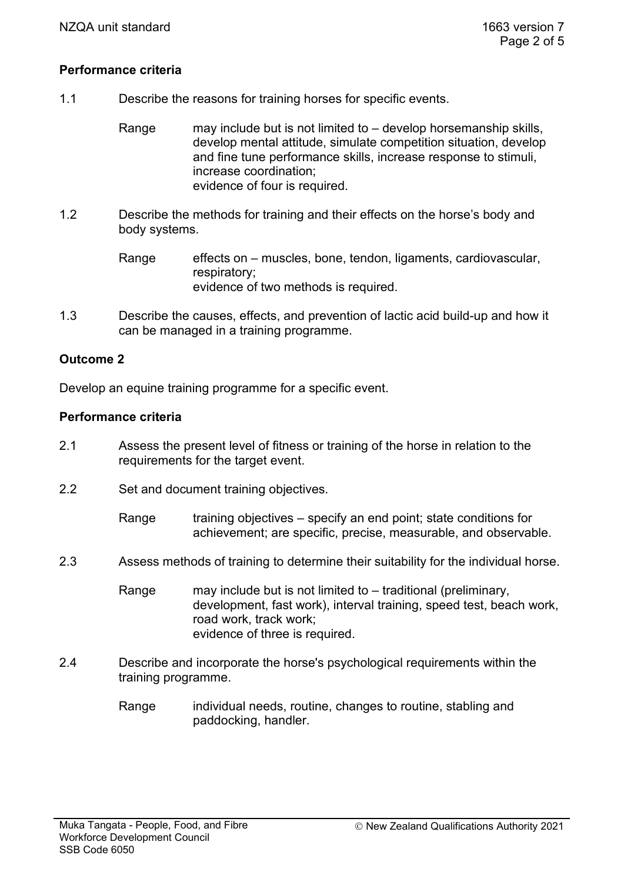## **Performance criteria**

1.1 Describe the reasons for training horses for specific events.

Range may include but is not limited to – develop horsemanship skills, develop mental attitude, simulate competition situation, develop and fine tune performance skills, increase response to stimuli, increase coordination; evidence of four is required.

1.2 Describe the methods for training and their effects on the horse's body and body systems.

> Range effects on – muscles, bone, tendon, ligaments, cardiovascular, respiratory; evidence of two methods is required.

1.3 Describe the causes, effects, and prevention of lactic acid build-up and how it can be managed in a training programme.

## **Outcome 2**

Develop an equine training programme for a specific event.

#### **Performance criteria**

- 2.1 Assess the present level of fitness or training of the horse in relation to the requirements for the target event.
- 2.2 Set and document training objectives.

Range training objectives – specify an end point; state conditions for achievement; are specific, precise, measurable, and observable.

- 2.3 Assess methods of training to determine their suitability for the individual horse.
	- Range may include but is not limited to traditional (preliminary, development, fast work), interval training, speed test, beach work, road work, track work; evidence of three is required.
- 2.4 Describe and incorporate the horse's psychological requirements within the training programme.
	- Range individual needs, routine, changes to routine, stabling and paddocking, handler.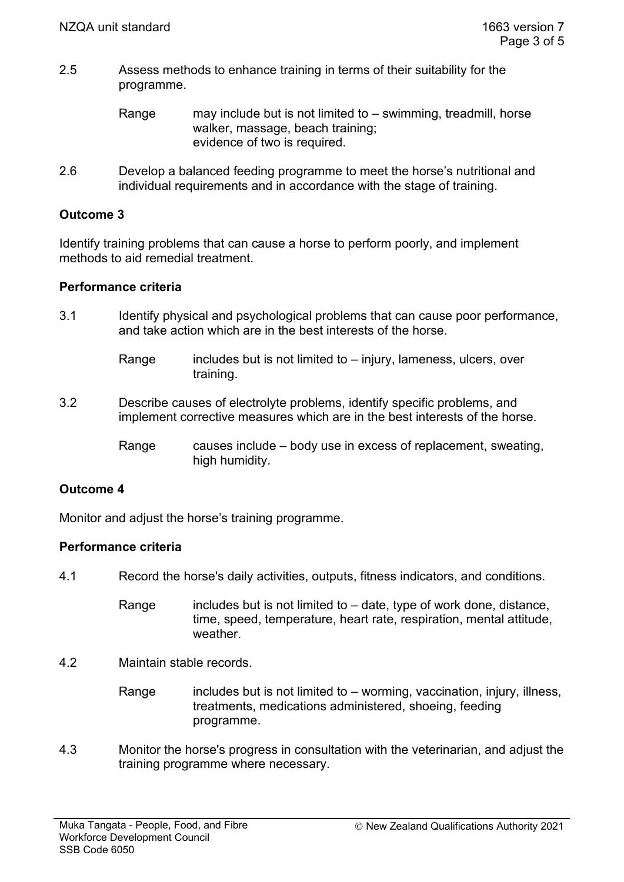- 2.5 Assess methods to enhance training in terms of their suitability for the programme.
	- Range may include but is not limited to swimming, treadmill, horse walker, massage, beach training; evidence of two is required.
- 2.6 Develop a balanced feeding programme to meet the horse's nutritional and individual requirements and in accordance with the stage of training.

## **Outcome 3**

Identify training problems that can cause a horse to perform poorly, and implement methods to aid remedial treatment.

### **Performance criteria**

- 3.1 Identify physical and psychological problems that can cause poor performance, and take action which are in the best interests of the horse.
	- Range includes but is not limited to  $-$  injury, lameness, ulcers, over training.
- 3.2 Describe causes of electrolyte problems, identify specific problems, and implement corrective measures which are in the best interests of the horse.
	- Range causes include body use in excess of replacement, sweating, high humidity.

## **Outcome 4**

Monitor and adjust the horse's training programme.

### **Performance criteria**

- 4.1 Record the horse's daily activities, outputs, fitness indicators, and conditions.
	- Range includes but is not limited to  $-$  date, type of work done, distance, time, speed, temperature, heart rate, respiration, mental attitude, weather.
- 4.2 Maintain stable records.
	- Range includes but is not limited to worming, vaccination, injury, illness, treatments, medications administered, shoeing, feeding programme.
- 4.3 Monitor the horse's progress in consultation with the veterinarian, and adjust the training programme where necessary.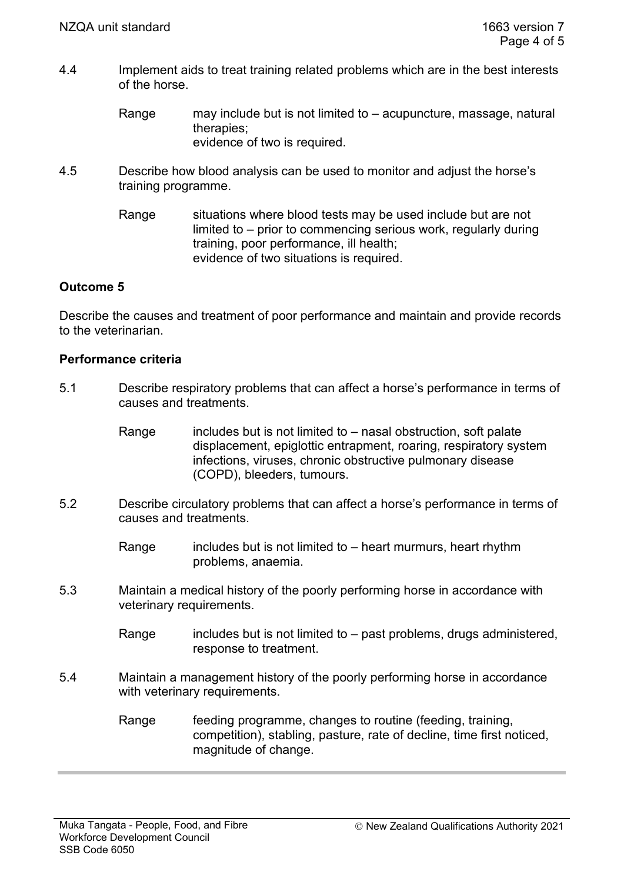- 4.4 Implement aids to treat training related problems which are in the best interests of the horse.
	- Range may include but is not limited to acupuncture, massage, natural therapies; evidence of two is required.
- 4.5 Describe how blood analysis can be used to monitor and adjust the horse's training programme.
	- Range situations where blood tests may be used include but are not limited to – prior to commencing serious work, regularly during training, poor performance, ill health; evidence of two situations is required.

## **Outcome 5**

Describe the causes and treatment of poor performance and maintain and provide records to the veterinarian.

## **Performance criteria**

- 5.1 Describe respiratory problems that can affect a horse's performance in terms of causes and treatments.
	- Range  $\blacksquare$  includes but is not limited to nasal obstruction, soft palate displacement, epiglottic entrapment, roaring, respiratory system infections, viruses, chronic obstructive pulmonary disease (COPD), bleeders, tumours.
- 5.2 Describe circulatory problems that can affect a horse's performance in terms of causes and treatments.
	- Range includes but is not limited to heart murmurs, heart rhythm problems, anaemia.
- 5.3 Maintain a medical history of the poorly performing horse in accordance with veterinary requirements.
	- Range includes but is not limited to  $-$  past problems, drugs administered, response to treatment.
- 5.4 Maintain a management history of the poorly performing horse in accordance with veterinary requirements.

Range feeding programme, changes to routine (feeding, training, competition), stabling, pasture, rate of decline, time first noticed, magnitude of change.